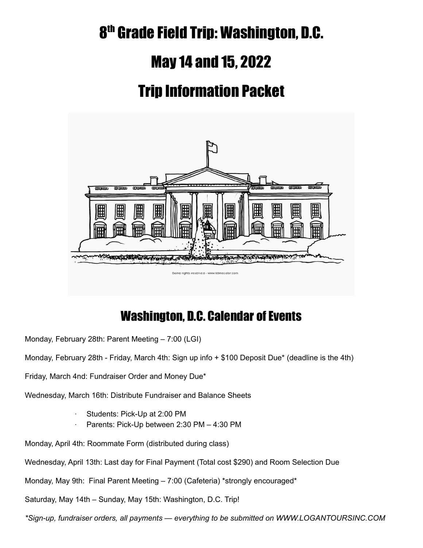# 8<sup>th</sup> Grade Field Trip: Washington, D.C.

## May 14 and 15, 2022

# Trip Information Packet



### Washington, D.C. Calendar of Events

Monday, February 28th: Parent Meeting – 7:00 (LGI)

Monday, February 28th - Friday, March 4th: Sign up info + \$100 Deposit Due\* (deadline is the 4th)

Friday, March 4nd: Fundraiser Order and Money Due\*

Wednesday, March 16th: Distribute Fundraiser and Balance Sheets

- Students: Pick-Up at 2:00 PM
- Parents: Pick-Up between 2:30 PM 4:30 PM

Monday, April 4th: Roommate Form (distributed during class)

Wednesday, April 13th: Last day for Final Payment (Total cost \$290) and Room Selection Due

Monday, May 9th: Final Parent Meeting – 7:00 (Cafeteria) \*strongly encouraged\*

Saturday, May 14th – Sunday, May 15th: Washington, D.C. Trip!

*\*Sign-up, fundraiser orders, all payments — everything to be submitted on WWW.LOGANTOURSINC.COM*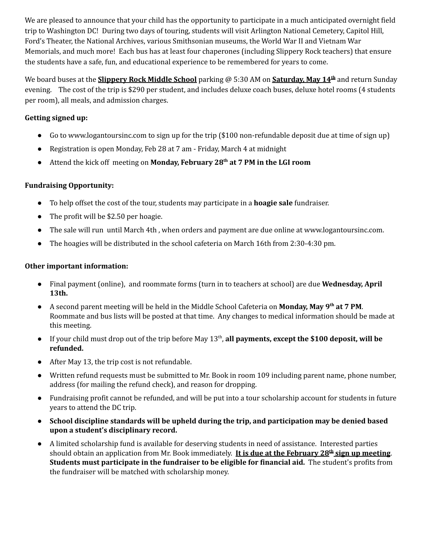We are pleased to announce that your child has the opportunity to participate in a much anticipated overnight field trip to Washington DC! During two days of touring, students will visit Arlington National Cemetery, Capitol Hill, Ford's Theater, the National Archives, various Smithsonian museums, the World War II and Vietnam War Memorials, and much more! Each bus has at least four chaperones (including Slippery Rock teachers) that ensure the students have a safe, fun, and educational experience to be remembered for years to come.

We board buses at the **Slippery Rock Middle School** parking @ 5:30 AM on **Saturday, May 14 th** and return Sunday evening. The cost of the trip is \$290 per student, and includes deluxe coach buses, deluxe hotel rooms (4 students per room), all meals, and admission charges.

#### **Getting signed up:**

- Go to [www.logantoursinc.com](http://www.logantoursinc.com) to sign up for the trip (\$100 non-refundable deposit due at time of sign up)
- Registration is open Monday, Feb 28 at 7 am Friday, March 4 at midnight
- Attend the kick off meeting on **Monday, February 28 th at 7 PM in the LGI room**

#### **Fundraising Opportunity:**

- To help offset the cost of the tour, students may participate in a **hoagie sale** fundraiser.
- The profit will be \$2.50 per hoagie.
- The sale will run until March 4th, when orders and payment are due online at www.logantoursinc.com.
- The hoagies will be distributed in the school cafeteria on March 16th from 2:30-4:30 pm.

#### **Other important information:**

- **●** Final payment (online), and roommate forms (turn in to teachers at school) are due **Wednesday, April 13th.**
- **●** A second parent meeting will be held in the Middle School Cafeteria on **Monday, May 9 th at 7 PM**. Roommate and bus lists will be posted at that time. Any changes to medical information should be made at this meeting.
- **●** If your child must drop out of the trip before May 13 th , **all payments, except the \$100 deposit, will be refunded.**
- **●** After May 13, the trip cost is not refundable.
- **●** Written refund requests must be submitted to Mr. Book in room 109 including parent name, phone number, address (for mailing the refund check), and reason for dropping.
- Fundraising profit cannot be refunded, and will be put into a tour scholarship account for students in future years to attend the DC trip.
- **● School discipline standards will be upheld during the trip, and participation may be denied based upon a student's disciplinary record.**
- **●** A limited scholarship fund is available for deserving students in need of assistance. Interested parties should obtain an application from Mr. Book immediately. **It is due at the February 28 th sign up meeting**. **Students must participate in the fundraiser to be eligible for financial aid.** The student's profits from the fundraiser will be matched with scholarship money.